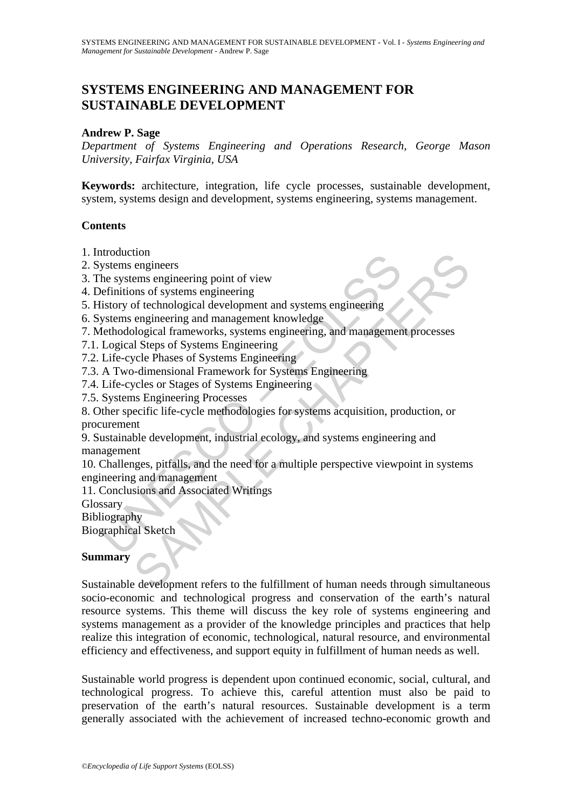# **SYSTEMS ENGINEERING AND MANAGEMENT FOR SUSTAINABLE DEVELOPMENT**

## **Andrew P. Sage**

*Department of Systems Engineering and Operations Research, George Mason University, Fairfax Virginia, USA*

**Keywords:** architecture, integration, life cycle processes, sustainable development, system, systems design and development, systems engineering, systems management.

## **Contents**

- 1. Introduction
- 2. Systems engineers
- 3. The systems engineering point of view
- 4. Definitions of systems engineering
- 5. History of technological development and systems engineering
- 6. Systems engineering and management knowledge
- 7. Methodological frameworks, systems engineering, and management processes
- 7.1. Logical Steps of Systems Engineering
- 7.2. Life-cycle Phases of Systems Engineering
- 7.3. A Two-dimensional Framework for Systems Engineering
- 7.4. Life-cycles or Stages of Systems Engineering
- 7.5. Systems Engineering Processes

8. Other specific life-cycle methodologies for systems acquisition, production, or procurement

Moudcount<br>
Systems engineers<br>
the systems engineering point of view<br>
the systems engineering point of view<br>
definitions of systems engineering<br>
distory of technological development and systems engineering<br>
Systems engineer 9. Sustainable development, industrial ecology, and systems engineering and management

to<br>engineers<br>engineers<br>engineering point of view<br>engineering considered development and systems engineering<br>engineering and management knowledge<br>alogical frameworks, systems engineering<br>ological frameworks, systems enginee 10. Challenges, pitfalls, and the need for a multiple perspective viewpoint in systems engineering and management

11. Conclusions and Associated Writings

Glossary

Bibliography

Biographical Sketch

### **Summary**

Sustainable development refers to the fulfillment of human needs through simultaneous socio-economic and technological progress and conservation of the earth's natural resource systems. This theme will discuss the key role of systems engineering and systems management as a provider of the knowledge principles and practices that help realize this integration of economic, technological, natural resource, and environmental efficiency and effectiveness, and support equity in fulfillment of human needs as well.

Sustainable world progress is dependent upon continued economic, social, cultural, and technological progress. To achieve this, careful attention must also be paid to preservation of the earth's natural resources. Sustainable development is a term generally associated with the achievement of increased techno-economic growth and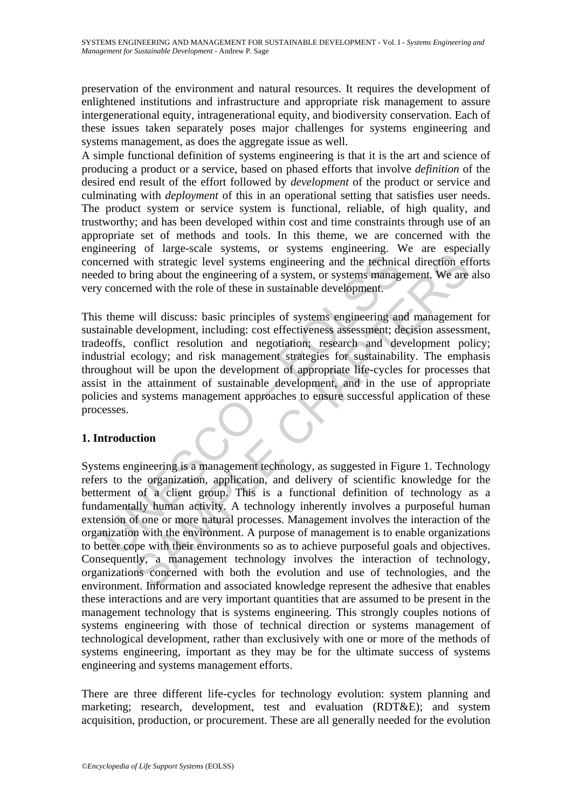preservation of the environment and natural resources. It requires the development of enlightened institutions and infrastructure and appropriate risk management to assure intergenerational equity, intragenerational equity, and biodiversity conservation. Each of these issues taken separately poses major challenges for systems engineering and systems management, as does the aggregate issue as well.

A simple functional definition of systems engineering is that it is the art and science of producing a product or a service, based on phased efforts that involve *definition* of the desired end result of the effort followed by *development* of the product or service and culminating with *deployment* of this in an operational setting that satisfies user needs. The product system or service system is functional, reliable, of high quality, and trustworthy; and has been developed within cost and time constraints through use of an appropriate set of methods and tools. In this theme, we are concerned with the engineering of large-scale systems, or systems engineering. We are especially concerned with strategic level systems engineering and the technical direction efforts needed to bring about the engineering of a system, or systems management. We are also very concerned with the role of these in sustainable development.

example with strategic level systems engineering and the technicity concerned with strategic level systems engineering and the technicity concerned with the role of these in sustainable development.<br>
Solution the role of t This theme will discuss: basic principles of systems engineering and management for sustainable development, including: cost effectiveness assessment; decision assessment, tradeoffs, conflict resolution and negotiation; research and development policy; industrial ecology; and risk management strategies for sustainability. The emphasis throughout will be upon the development of appropriate life-cycles for processes that assist in the attainment of sustainable development, and in the use of appropriate policies and systems management approaches to ensure successful application of these processes.

# **1. Introduction**

something with strategic level systems engineering and the technical direction efficing<br>with strategic level systems engineering and the technical direction efform<br>and with strategic level systems engineering and the techn Systems engineering is a management technology, as suggested in Figure 1. Technology refers to the organization, application, and delivery of scientific knowledge for the betterment of a client group. This is a functional definition of technology as a fundamentally human activity. A technology inherently involves a purposeful human extension of one or more natural processes. Management involves the interaction of the organization with the environment. A purpose of management is to enable organizations to better cope with their environments so as to achieve purposeful goals and objectives. Consequently, a management technology involves the interaction of technology, organizations concerned with both the evolution and use of technologies, and the environment. Information and associated knowledge represent the adhesive that enables these interactions and are very important quantities that are assumed to be present in the management technology that is systems engineering. This strongly couples notions of systems engineering with those of technical direction or systems management of technological development, rather than exclusively with one or more of the methods of systems engineering, important as they may be for the ultimate success of systems engineering and systems management efforts.

There are three different life-cycles for technology evolution: system planning and marketing; research, development, test and evaluation (RDT&E); and system acquisition, production, or procurement. These are all generally needed for the evolution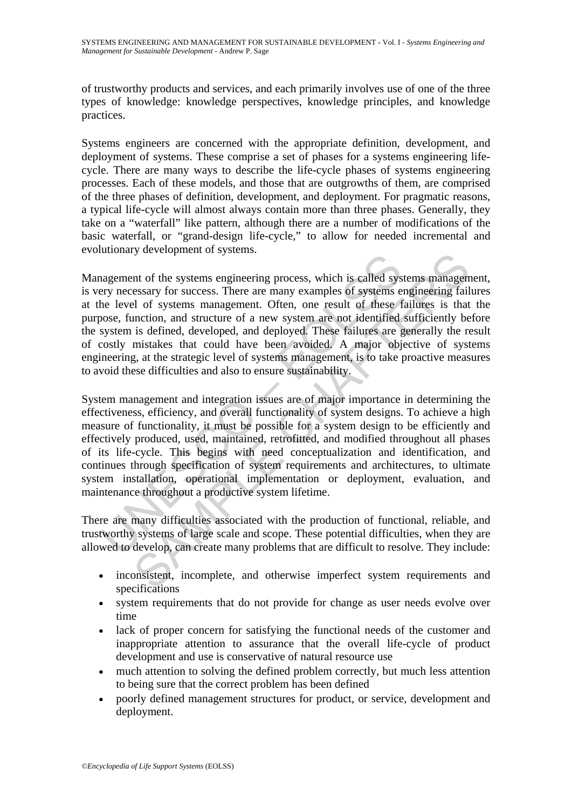of trustworthy products and services, and each primarily involves use of one of the three types of knowledge: knowledge perspectives, knowledge principles, and knowledge practices.

Systems engineers are concerned with the appropriate definition, development, and deployment of systems. These comprise a set of phases for a systems engineering lifecycle. There are many ways to describe the life-cycle phases of systems engineering processes. Each of these models, and those that are outgrowths of them, are comprised of the three phases of definition, development, and deployment. For pragmatic reasons, a typical life-cycle will almost always contain more than three phases. Generally, they take on a "waterfall" like pattern, although there are a number of modifications of the basic waterfall, or "grand-design life-cycle," to allow for needed incremental and evolutionary development of systems.

nagement of the systems. There are many exceptions of systems.<br>
Inagement of the systems engineering process, which is called systems end the level of systems management. Often, one result of these f<br>
system is defined, de by accusion-toring process, which is called systems managem<br>essary for success. There are many examples of systems engineering fail<br>of systems management. Often, one result of these failures is that<br>inclining in different Management of the systems engineering process, which is called systems management, is very necessary for success. There are many examples of systems engineering failures at the level of systems management. Often, one result of these failures is that the purpose, function, and structure of a new system are not identified sufficiently before the system is defined, developed, and deployed. These failures are generally the result of costly mistakes that could have been avoided. A major objective of systems engineering, at the strategic level of systems management, is to take proactive measures to avoid these difficulties and also to ensure sustainability.

System management and integration issues are of major importance in determining the effectiveness, efficiency, and overall functionality of system designs. To achieve a high measure of functionality, it must be possible for a system design to be efficiently and effectively produced, used, maintained, retrofitted, and modified throughout all phases of its life-cycle. This begins with need conceptualization and identification, and continues through specification of system requirements and architectures, to ultimate system installation, operational implementation or deployment, evaluation, and maintenance throughout a productive system lifetime.

There are many difficulties associated with the production of functional, reliable, and trustworthy systems of large scale and scope. These potential difficulties, when they are allowed to develop, can create many problems that are difficult to resolve. They include:

- inconsistent, incomplete, and otherwise imperfect system requirements and specifications
- system requirements that do not provide for change as user needs evolve over time
- lack of proper concern for satisfying the functional needs of the customer and inappropriate attention to assurance that the overall life-cycle of product development and use is conservative of natural resource use
- much attention to solving the defined problem correctly, but much less attention to being sure that the correct problem has been defined
- poorly defined management structures for product, or service, development and deployment.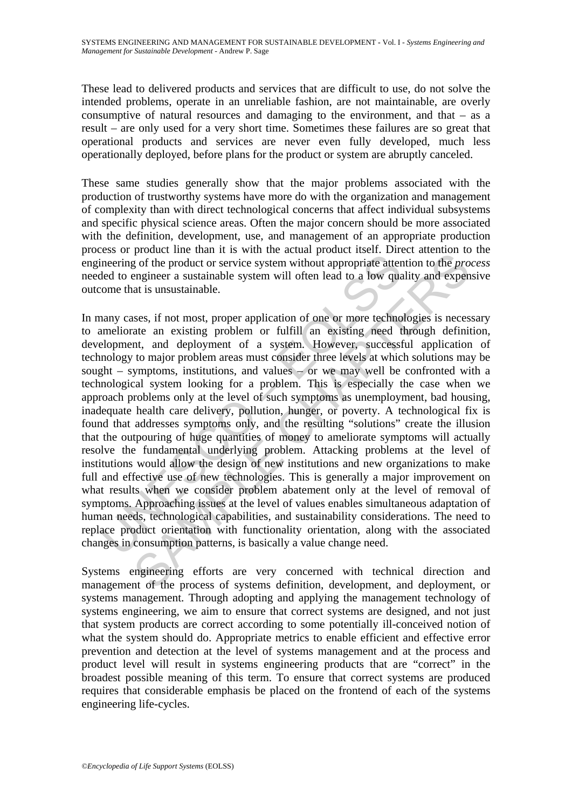These lead to delivered products and services that are difficult to use, do not solve the intended problems, operate in an unreliable fashion, are not maintainable, are overly consumptive of natural resources and damaging to the environment, and that – as a result – are only used for a very short time. Sometimes these failures are so great that operational products and services are never even fully developed, much less operationally deployed, before plans for the product or system are abruptly canceled.

These same studies generally show that the major problems associated with the production of trustworthy systems have more do with the organization and management of complexity than with direct technological concerns that affect individual subsystems and specific physical science areas. Often the major concern should be more associated with the definition, development, use, and management of an appropriate production process or product line than it is with the actual product itself. Direct attention to the engineering of the product or service system without appropriate attention to the *process* needed to engineer a sustainable system will often lead to a low quality and expensive outcome that is unsustainable.

External and it is with the wall threat threat threat threat threat threat threat threat in product or service system withot appropriate atter<br>ded to engineer a sustainable.<br>Analy cases, if not most, proper application of product me main is with a tectual product restrict ancustor and is well product or service system without appropriate attention to the prongineer a sustainable, sees, if not most, proper application of one or more technolo In many cases, if not most, proper application of one or more technologies is necessary to ameliorate an existing problem or fulfill an existing need through definition, development, and deployment of a system. However, successful application of technology to major problem areas must consider three levels at which solutions may be sought – symptoms, institutions, and values – or we may well be confronted with a technological system looking for a problem. This is especially the case when we approach problems only at the level of such symptoms as unemployment, bad housing, inadequate health care delivery, pollution, hunger, or poverty. A technological fix is found that addresses symptoms only, and the resulting "solutions" create the illusion that the outpouring of huge quantities of money to ameliorate symptoms will actually resolve the fundamental underlying problem. Attacking problems at the level of institutions would allow the design of new institutions and new organizations to make full and effective use of new technologies. This is generally a major improvement on what results when we consider problem abatement only at the level of removal of symptoms. Approaching issues at the level of values enables simultaneous adaptation of human needs, technological capabilities, and sustainability considerations. The need to replace product orientation with functionality orientation, along with the associated changes in consumption patterns, is basically a value change need.

Systems engineering efforts are very concerned with technical direction and management of the process of systems definition, development, and deployment, or systems management. Through adopting and applying the management technology of systems engineering, we aim to ensure that correct systems are designed, and not just that system products are correct according to some potentially ill-conceived notion of what the system should do. Appropriate metrics to enable efficient and effective error prevention and detection at the level of systems management and at the process and product level will result in systems engineering products that are "correct" in the broadest possible meaning of this term. To ensure that correct systems are produced requires that considerable emphasis be placed on the frontend of each of the systems engineering life-cycles.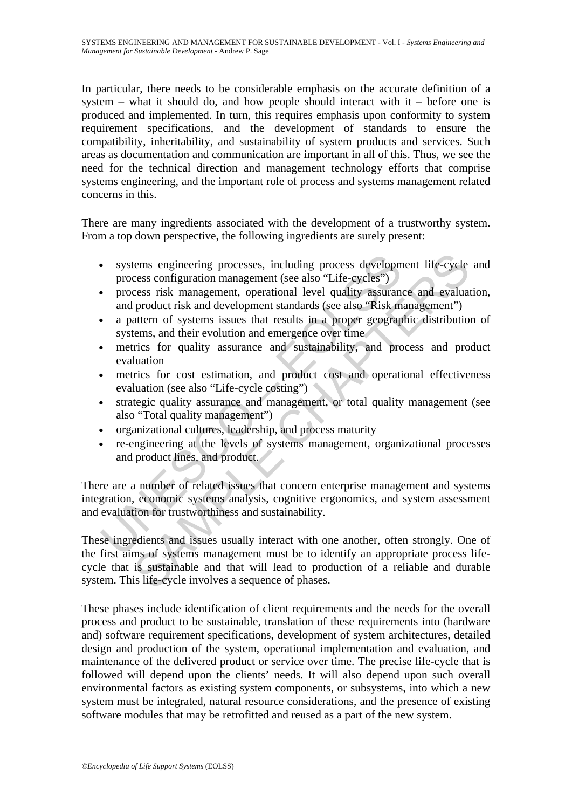In particular, there needs to be considerable emphasis on the accurate definition of a system – what it should do, and how people should interact with it – before one is produced and implemented. In turn, this requires emphasis upon conformity to system requirement specifications, and the development of standards to ensure the compatibility, inheritability, and sustainability of system products and services. Such areas as documentation and communication are important in all of this. Thus, we see the need for the technical direction and management technology efforts that comprise systems engineering, and the important role of process and systems management related concerns in this.

There are many ingredients associated with the development of a trustworthy system. From a top down perspective, the following ingredients are surely present:

- systems engineering processes, including process development life-cycle and process configuration management (see also "Life-cycles")
- process risk management, operational level quality assurance and evaluation, and product risk and development standards (see also "Risk management")
- a pattern of systems issues that results in a proper geographic distribution of systems, and their evolution and emergence over time
- metrics for quality assurance and sustainability, and process and product evaluation
- metrics for cost estimation, and product cost and operational effectiveness evaluation (see also "Life-cycle costing")
- strategic quality assurance and management, or total quality management (see also "Total quality management")
- organizational cultures, leadership, and process maturity
- re-engineering at the levels of systems management, organizational processes and product lines, and product.

Systems engineering processes, including process developm<br>
process configuration management (see also "Life-cycles")<br>
process risk management, operational level quality assurant<br>
and product risk and development standards There are a number of related issues that concern enterprise management and systems integration, economic systems analysis, cognitive ergonomics, and system assessment and evaluation for trustworthiness and sustainability.

tems engineering processes, including process development life-cycle<br>cess configuration management (see also "Life-cycles")<br>product risk and development standards (see also "Risk management")<br>attern of systems issues that These ingredients and issues usually interact with one another, often strongly. One of the first aims of systems management must be to identify an appropriate process lifecycle that is sustainable and that will lead to production of a reliable and durable system. This life-cycle involves a sequence of phases.

These phases include identification of client requirements and the needs for the overall process and product to be sustainable, translation of these requirements into (hardware and) software requirement specifications, development of system architectures, detailed design and production of the system, operational implementation and evaluation, and maintenance of the delivered product or service over time. The precise life-cycle that is followed will depend upon the clients' needs. It will also depend upon such overall environmental factors as existing system components, or subsystems, into which a new system must be integrated, natural resource considerations, and the presence of existing software modules that may be retrofitted and reused as a part of the new system.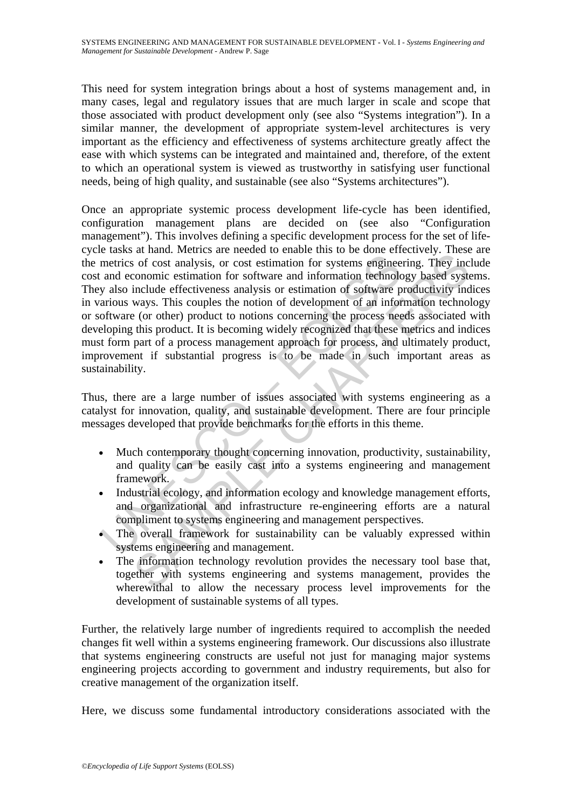This need for system integration brings about a host of systems management and, in many cases, legal and regulatory issues that are much larger in scale and scope that those associated with product development only (see also "Systems integration"). In a similar manner, the development of appropriate system-level architectures is very important as the efficiency and effectiveness of systems architecture greatly affect the ease with which systems can be integrated and maintained and, therefore, of the extent to which an operational system is viewed as trustworthy in satisfying user functional needs, being of high quality, and sustainable (see also "Systems architectures").

The metrics of cost analysis, or cost estimation for systems enginee<br>and economic estimation for software and information technology also include effectiveness analysis or estimation of software parious ways. This couples a ranal, netcomes are lected to enable the netcomes in the context curvey. Inexerty<br>of cost analysis, or cost estimation for systems engineering. They incommic estimation for software and information technology based syste Once an appropriate systemic process development life-cycle has been identified, configuration management plans are decided on (see also "Configuration management"). This involves defining a specific development process for the set of lifecycle tasks at hand. Metrics are needed to enable this to be done effectively. These are the metrics of cost analysis, or cost estimation for systems engineering. They include cost and economic estimation for software and information technology based systems. They also include effectiveness analysis or estimation of software productivity indices in various ways. This couples the notion of development of an information technology or software (or other) product to notions concerning the process needs associated with developing this product. It is becoming widely recognized that these metrics and indices must form part of a process management approach for process, and ultimately product, improvement if substantial progress is to be made in such important areas as sustainability.

Thus, there are a large number of issues associated with systems engineering as a catalyst for innovation, quality, and sustainable development. There are four principle messages developed that provide benchmarks for the efforts in this theme.

- Much contemporary thought concerning innovation, productivity, sustainability, and quality can be easily cast into a systems engineering and management framework.
- Industrial ecology, and information ecology and knowledge management efforts, and organizational and infrastructure re-engineering efforts are a natural compliment to systems engineering and management perspectives.
- The overall framework for sustainability can be valuably expressed within systems engineering and management.
- The information technology revolution provides the necessary tool base that, together with systems engineering and systems management, provides the wherewithal to allow the necessary process level improvements for the development of sustainable systems of all types.

Further, the relatively large number of ingredients required to accomplish the needed changes fit well within a systems engineering framework. Our discussions also illustrate that systems engineering constructs are useful not just for managing major systems engineering projects according to government and industry requirements, but also for creative management of the organization itself.

Here, we discuss some fundamental introductory considerations associated with the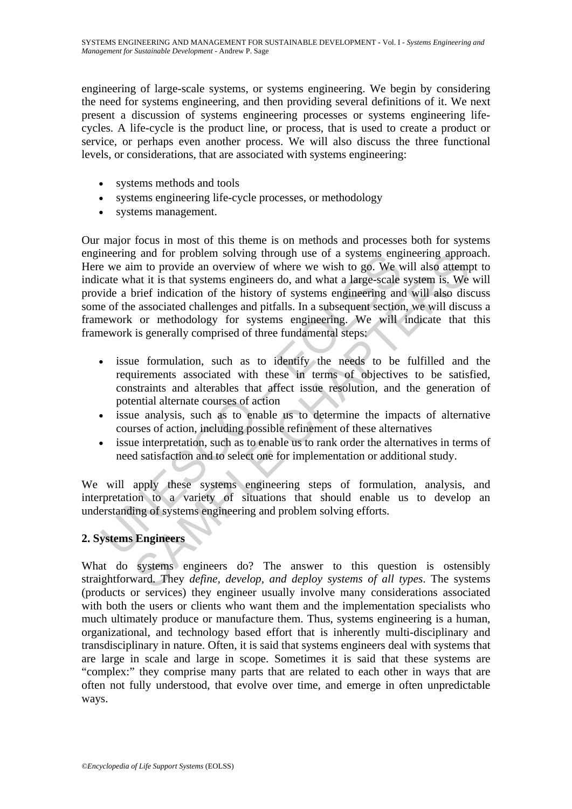engineering of large-scale systems, or systems engineering. We begin by considering the need for systems engineering, and then providing several definitions of it. We next present a discussion of systems engineering processes or systems engineering lifecycles. A life-cycle is the product line, or process, that is used to create a product or service, or perhaps even another process. We will also discuss the three functional levels, or considerations, that are associated with systems engineering:

- systems methods and tools
- systems engineering life-cycle processes, or methodology
- systems management.

meeting and for problem solving through use of a systems eng<br>
we aim to provide an overview of where we wish to go. We<br>
e a te aim to provide a brief indication of the history of systems engineering and<br>
e of the associate g and for problem solving through use of a systems engineering approm<br>im to provide an overview of where we wish to go. We will also atternal<br>tat it is that systems engineers do, and what a large-scale system is. We<br>brief Our major focus in most of this theme is on methods and processes both for systems engineering and for problem solving through use of a systems engineering approach. Here we aim to provide an overview of where we wish to go. We will also attempt to indicate what it is that systems engineers do, and what a large-scale system is. We will provide a brief indication of the history of systems engineering and will also discuss some of the associated challenges and pitfalls. In a subsequent section, we will discuss a framework or methodology for systems engineering. We will indicate that this framework is generally comprised of three fundamental steps:

- issue formulation, such as to identify the needs to be fulfilled and the requirements associated with these in terms of objectives to be satisfied, constraints and alterables that affect issue resolution, and the generation of potential alternate courses of action
- issue analysis, such as to enable us to determine the impacts of alternative courses of action, including possible refinement of these alternatives
- issue interpretation, such as to enable us to rank order the alternatives in terms of need satisfaction and to select one for implementation or additional study.

We will apply these systems engineering steps of formulation, analysis, and interpretation to a variety of situations that should enable us to develop an understanding of systems engineering and problem solving efforts.

# **2. Systems Engineers**

What do systems engineers do? The answer to this question is ostensibly straightforward. They *define, develop, and deploy systems of all types*. The systems (products or services) they engineer usually involve many considerations associated with both the users or clients who want them and the implementation specialists who much ultimately produce or manufacture them. Thus, systems engineering is a human, organizational, and technology based effort that is inherently multi-disciplinary and transdisciplinary in nature. Often, it is said that systems engineers deal with systems that are large in scale and large in scope. Sometimes it is said that these systems are "complex:" they comprise many parts that are related to each other in ways that are often not fully understood, that evolve over time, and emerge in often unpredictable ways.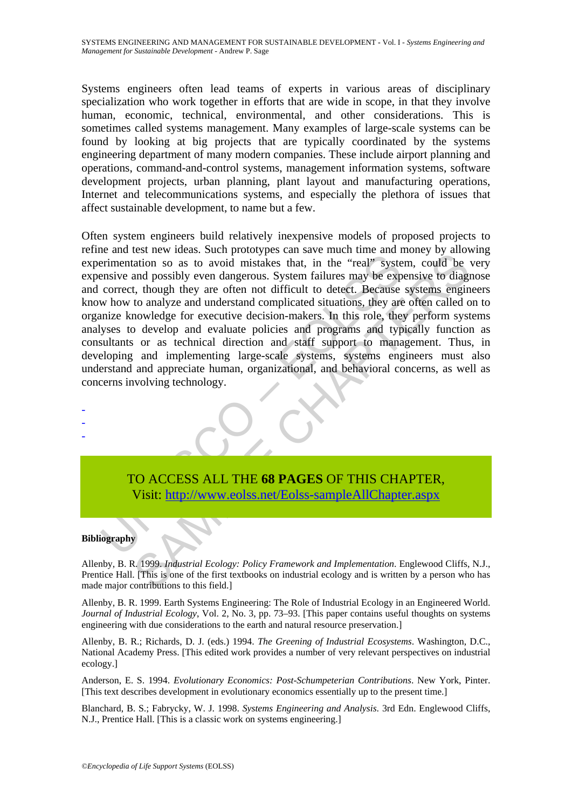Systems engineers often lead teams of experts in various areas of disciplinary specialization who work together in efforts that are wide in scope, in that they involve human, economic, technical, environmental, and other considerations. This is sometimes called systems management. Many examples of large-scale systems can be found by looking at big projects that are typically coordinated by the systems engineering department of many modern companies. These include airport planning and operations, command-and-control systems, management information systems, software development projects, urban planning, plant layout and manufacturing operations, Internet and telecommunications systems, and especially the plethora of issues that affect sustainable development, to name but a few.

Example 2012<br>
The mentation so as to avoid mistakes that, in the "real" system<br>
rementation so as to avoid mistakes that, in the "real" systems<br>
ensive and possibly even dangerous. System failures may be exp<br>
correct, thou Extra heads. Such prototypes can save mean mean money of anoual diation so as to avoid mistakes that, in the "real" system, could be<br>and possibly even dangerous. System failures may be expensive to diagnotal to analyze and Often system engineers build relatively inexpensive models of proposed projects to refine and test new ideas. Such prototypes can save much time and money by allowing experimentation so as to avoid mistakes that, in the "real" system, could be very expensive and possibly even dangerous. System failures may be expensive to diagnose and correct, though they are often not difficult to detect. Because systems engineers know how to analyze and understand complicated situations, they are often called on to organize knowledge for executive decision-makers. In this role, they perform systems analyses to develop and evaluate policies and programs and typically function as consultants or as technical direction and staff support to management. Thus, in developing and implementing large-scale systems, systems engineers must also understand and appreciate human, organizational, and behavioral concerns, as well as concerns involving technology.

TO ACCESS ALL THE **68 PAGES** OF THIS CHAPTER, Visit: http://www.eolss.net/Eolss-sampleAllChapter.aspx

### **Bibliography**

- - -

Allenby, B. R. 1999. *Industrial Ecology: Policy Framework and Implementation*. Englewood Cliffs, N.J., Prentice Hall. [This is one of the first textbooks on industrial ecology and is written by a person who has made major contributions to this field.]

Allenby, B. R. 1999. Earth Systems Engineering: The Role of Industrial Ecology in an Engineered World. *Journal of Industrial Ecology*, Vol. 2, No. 3, pp. 73–93. [This paper contains useful thoughts on systems engineering with due considerations to the earth and natural resource preservation.]

Allenby, B. R.; Richards, D. J. (eds.) 1994. *The Greening of Industrial Ecosystems*. Washington, D.C., National Academy Press. [This edited work provides a number of very relevant perspectives on industrial ecology.]

Anderson, E. S. 1994. *Evolutionary Economics: Post-Schumpeterian Contributions*. New York, Pinter. [This text describes development in evolutionary economics essentially up to the present time.]

Blanchard, B. S.; Fabrycky, W. J. 1998. *Systems Engineering and Analysis*. 3rd Edn. Englewood Cliffs, N.J., Prentice Hall. [This is a classic work on systems engineering.]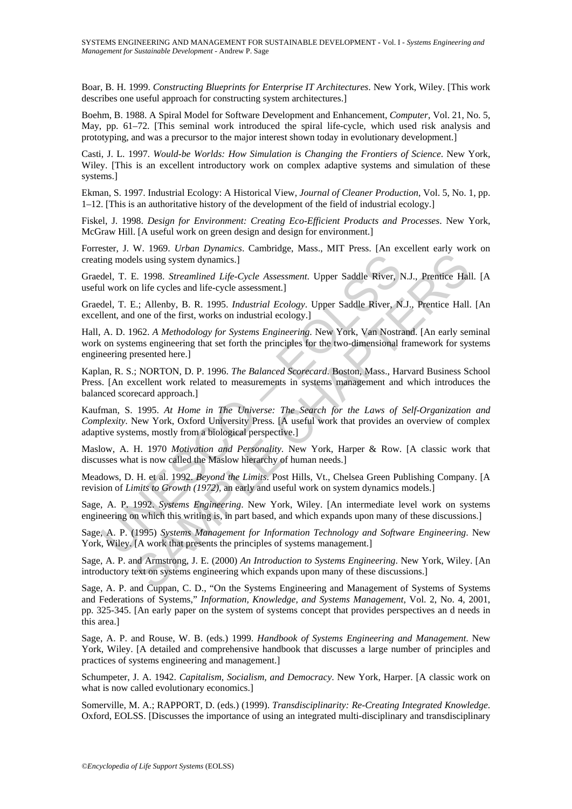Boar, B. H. 1999. *Constructing Blueprints for Enterprise IT Architectures*. New York, Wiley. [This work describes one useful approach for constructing system architectures.]

Boehm, B. 1988. A Spiral Model for Software Development and Enhancement, *Computer*, Vol. 21, No. 5, May, pp. 61–72. [This seminal work introduced the spiral life-cycle, which used risk analysis and prototyping, and was a precursor to the major interest shown today in evolutionary development.]

Casti, J. L. 1997. *Would-be Worlds: How Simulation is Changing the Frontiers of Science*. New York, Wiley. [This is an excellent introductory work on complex adaptive systems and simulation of these systems.]

Ekman, S. 1997. Industrial Ecology: A Historical View, *Journal of Cleaner Production*, Vol. 5, No. 1, pp. 1–12. [This is an authoritative history of the development of the field of industrial ecology.]

Fiskel, J. 1998. *Design for Environment: Creating Eco-Efficient Products and Processes*. New York, McGraw Hill. [A useful work on green design and design for environment.]

Forrester, J. W. 1969. *Urban Dynamics*. Cambridge, Mass., MIT Press. [An excellent early work on creating models using system dynamics.]

Graedel, T. E. 1998. *Streamlined Life-Cycle Assessment*. Upper Saddle River, N.J., Prentice Hall. [A useful work on life cycles and life-cycle assessment.]

Graedel, T. E.; Allenby, B. R. 1995. *Industrial Ecology*. Upper Saddle River, N.J., Prentice Hall. [An excellent, and one of the first, works on industrial ecology.]

Hall, A. D. 1962. *A Methodology for Systems Engineering*. New York, Van Nostrand. [An early seminal work on systems engineering that set forth the principles for the two-dimensional framework for systems engineering presented here.]

Kaplan, R. S.; NORTON, D. P. 1996. *The Balanced Scorecard*. Boston, Mass., Harvard Business School Press. [An excellent work related to measurements in systems management and which introduces the balanced scorecard approach.]

ing models using system dynamics.]<br>
del, T. E. 1998. *Streamlined Life-Cycle Assessment*. Upper Saddle River, N<br>
al work on life cycles and life-cycle Assessment. Upper Saddle River, N<br>
del, T. E.; Allenby, B. R. 1995. *In* Assume System dynamics.]<br>
I. 1998. *Streamlined Life-Cycle Assessment*. Upper Saddle River, N.J., Prentice Hall<br>
E. 1998. *Streamlined Life-Cycle Assessment*. Upper Saddle River, N.J., Prentice Hall<br>
E. 1998. *Streamlined* Kaufman, S. 1995. *At Home in The Universe: The Search for the Laws of Self-Organization and Complexity*. New York, Oxford University Press. [A useful work that provides an overview of complex adaptive systems, mostly from a biological perspective.]

Maslow, A. H. 1970 *Motivation and Personality*. New York, Harper & Row. [A classic work that discusses what is now called the Maslow hierarchy of human needs.]

Meadows, D. H. et al. 1992. *Beyond the Limits*. Post Hills, Vt., Chelsea Green Publishing Company. [A revision of *Limits to Growth (1972),* an early and useful work on system dynamics models.]

Sage, A. P. 1992. *Systems Engineering*. New York, Wiley. [An intermediate level work on systems engineering on which this writing is, in part based, and which expands upon many of these discussions.]

Sage, A. P. (1995) *Systems Management for Information Technology and Software Engineering*. New York, Wiley. [A work that presents the principles of systems management.]

Sage, A. P. and Armstrong, J. E. (2000) *An Introduction to Systems Engineering*. New York, Wiley. [An introductory text on systems engineering which expands upon many of these discussions.]

Sage, A. P. and Cuppan, C. D., "On the Systems Engineering and Management of Systems of Systems and Federations of Systems," *Information, Knowledge, and Systems Management*, Vol. 2, No. 4, 2001, pp. 325-345. [An early paper on the system of systems concept that provides perspectives an d needs in this area.]

Sage, A. P. and Rouse, W. B. (eds.) 1999. *Handbook of Systems Engineering and Management*. New York, Wiley. [A detailed and comprehensive handbook that discusses a large number of principles and practices of systems engineering and management.]

Schumpeter, J. A. 1942. *Capitalism, Socialism, and Democracy*. New York, Harper. [A classic work on what is now called evolutionary economics.]

Somerville, M. A.; RAPPORT, D. (eds.) (1999). *Transdisciplinarity: Re-Creating Integrated Knowledge*. Oxford, EOLSS. [Discusses the importance of using an integrated multi-disciplinary and transdisciplinary